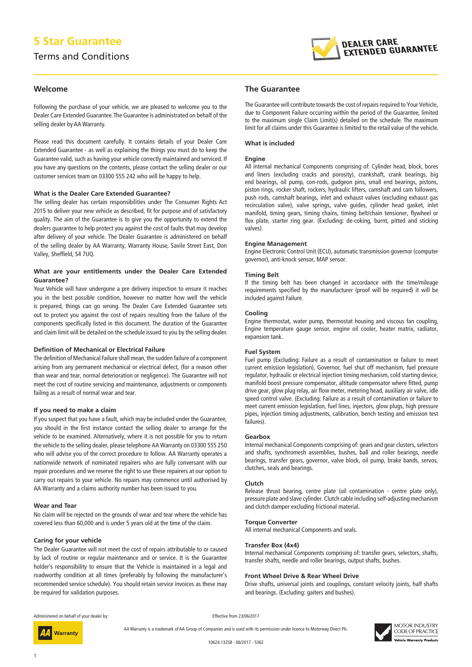# **5 Star Guarantee**

# Terms and Conditions



# **Welcome**

Following the purchase of your vehicle, we are pleased to welcome you to the Dealer Care Extended Guarantee. The Guarantee is administrated on behalf of the selling dealer by AA Warranty.

Please read this document carefully. It contains details of your Dealer Care Extended Guarantee - as well as explaining the things you must do to keep the Guarantee valid, such as having your vehicle correctly maintained and serviced. If you have any questions on the contents, please contact the selling dealer or our customer services team on 03300 555 242 who will be happy to help.

# **What is the Dealer Care Extended Guarantee?**

The selling dealer has certain responsibilities under The Consumer Rights Act 2015 to deliver your new vehicle as described, fit for purpose and of satisfactory quality. The aim of the Guarantee is to give you the opportunity to extend the dealers guarantee to help protect you against the cost of faults that may develop after delivery of your vehicle. The Dealer Guarantee is administered on behalf of the selling dealer by AA Warranty, Warranty House, Savile Street East, Don Valley, Sheffield, S4 7UQ.

# **What are your entitlements under the Dealer Care Extended Guarantee?**

Your Vehicle will have undergone a pre delivery inspection to ensure it reaches you in the best possible condition, however no matter how well the vehicle is prepared, things can go wrong. The Dealer Care Extended Guarantee sets out to protect you against the cost of repairs resulting from the failure of the components specifically listed in this document. The duration of the Guarantee and claim limit will be detailed on the schedule issued to you by the selling dealer.

## **Definition of Mechanical or Electrical Failure**

The definition of Mechanical Failure shall mean, the sudden failure of a component arising from any permanent mechanical or electrical defect, (for a reason other than wear and tear, normal deterioration or negligence). The Guarantee will not meet the cost of routine servicing and maintenance, adjustments or components failing as a result of normal wear and tear.

#### **If you need to make a claim**

If you suspect that you have a fault, which may be included under the Guarantee, you should in the first instance contact the selling dealer to arrange for the vehicle to be examined. Alternatively, where it is not possible for you to return the vehicle to the selling dealer, please telephone AA Warranty on 03300 555 250 who will advise you of the correct procedure to follow. AA Warranty operates a nationwide network of nominated repairers who are fully conversant with our repair procedures and we reserve the right to use these repairers at our option to carry out repairs to your vehicle. No repairs may commence until authorised by AA Warranty and a claims authority number has been issued to you.

# **Wear and Tear**

No claim will be rejected on the grounds of wear and tear where the vehicle has covered less than 60,000 and is under 5 years old at the time of the claim.

#### **Caring for your vehicle**

The Dealer Guarantee will not meet the cost of repairs attributable to or caused by lack of routine or regular maintenance and or service. It is the Guarantee holder's responsibility to ensure that the Vehicle is maintained in a legal and roadworthy condition at all times (preferably by following the manufacturer's recommended service schedule). You should retain service invoices as these may be required for validation purposes.

# **The Guarantee**

The Guarantee will contribute towards the cost of repairs required to Your Vehicle, due to Component Failure occurring within the period of the Guarantee, limited to the maximum single Claim Limit(s) detailed on the schedule. The maximum limit for all claims under this Guarantee is limited to the retail value of the vehicle.

#### **What is included**

#### **Engine**

All internal mechanical Components comprising of: Cylinder head, block, bores and liners (excluding cracks and porosity), crankshaft, crank bearings, big end bearings, oil pump, con-rods, gudgeon pins, small end bearings, pistons, piston rings, rocker shaft, rockers, hydraulic lifters, camshaft and cam followers, push rods, camshaft bearings, inlet and exhaust valves (excluding exhaust gas recirculation valve), valve springs, valve guides, cylinder head gasket, inlet manifold, timing gears, timing chains, timing belt/chain tensioner, flywheel or flex plate, starter ring gear. (Excluding: de-coking, burnt, pitted and sticking valves).

#### **Engine Management**

Engine Electronic Control Unit (ECU), automatic transmission governor (computer governor), anti-knock sensor, MAP sensor.

#### **Timing Belt**

If the timing belt has been changed in accordance with the time/mileage requirements specified by the manufacturer (proof will be required) it will be included against Failure.

#### **Cooling**

Engine thermostat, water pump, thermostat housing and viscous fan coupling, Engine temperature gauge sensor, engine oil cooler, heater matrix, radiator, expansion tank.

#### **Fuel System**

Fuel pump (Excluding: Failure as a result of contamination or failure to meet current emission legislation), Governor, fuel shut off mechanism, fuel pressure regulator, hydraulic or electrical injection timing mechanism, cold starting device, manifold boost pressure compensator, altitude compensator where fitted, pump drive gear, glow plug relay, air flow meter, metering head, auxiliary air valve, idle speed control valve. (Excluding: Failure as a result of contamination or failure to meet current emission legislation, fuel lines, injectors, glow plugs, high pressure pipes, injection timing adjustments, calibration, bench testing and emission test failures).

#### **Gearbox**

Internal mechanical Components comprising of: gears and gear clusters, selectors and shafts, synchromesh assemblies, bushes, ball and roller bearings, needle bearings, transfer gears, governor, valve block, oil pump, brake bands, servos, clutches, seals and bearings.

#### **Clutch**

Release thrust bearing, centre plate (oil contamination - centre plate only), pressure plate and slave cylinder. Clutch cable including self-adjusting mechanism and clutch damper excluding frictional material.

#### **Torque Converter**

All internal mechanical Components and seals.

#### **Transfer Box (4x4)**

Internal mechanical Components comprising of: transfer gears, selectors, shafts, transfer shafts, needle and roller bearings, output shafts, bushes.

#### **Front Wheel Drive & Rear Wheel Drive**

Drive shafts, universal joints and couplings, constant velocity joints, half shafts and bearings. (Excluding: gaiters and bushes).

Administered on behalf of your dealer by:

Effective from 23/06/2017

AA Warranty is a trademark of AA Group of Companies and is used with its permission under licence to Motorway Direct Plc.



1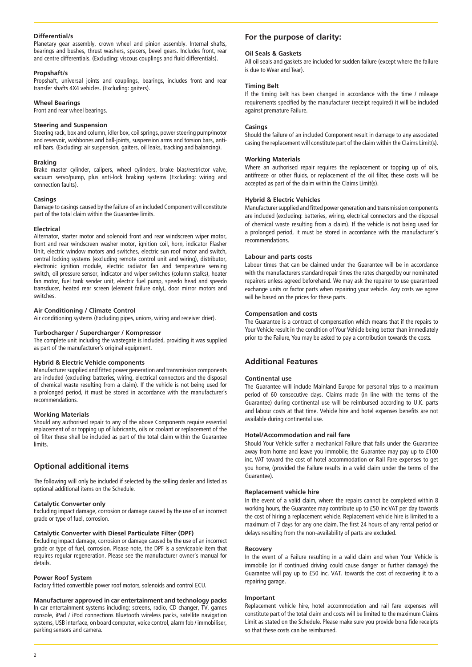# **Differential/s**

Planetary gear assembly, crown wheel and pinion assembly. Internal shafts, bearings and bushes, thrust washers, spacers, bevel gears. Includes front, rear and centre differentials. (Excluding: viscous couplings and fluid differentials).

#### **Propshaft/s**

Propshaft, universal joints and couplings, bearings, includes front and rear transfer shafts 4X4 vehicles. (Excluding: gaiters).

## **Wheel Bearings**

Front and rear wheel bearings.

#### **Steering and Suspension**

Steering rack, box and column, idler box, coil springs, power steering pump/motor and reservoir, wishbones and ball-joints, suspension arms and torsion bars, antiroll bars. (Excluding: air suspension, gaiters, oil leaks, tracking and balancing).

#### **Braking**

Brake master cylinder, calipers, wheel cylinders, brake bias/restrictor valve, vacuum servo/pump, plus anti-lock braking systems (Excluding: wiring and connection faults).

# **Casings**

Damage to casings caused by the failure of an included Component will constitute part of the total claim within the Guarantee limits.

# **Electrical**

Alternator, starter motor and solenoid front and rear windscreen wiper motor, front and rear windscreen washer motor, ignition coil, horn, indicator Flasher Unit, electric window motors and switches, electric sun roof motor and switch, central locking systems (excluding remote control unit and wiring), distributor, electronic ignition module, electric radiator fan and temperature sensing switch, oil pressure sensor, indicator and wiper switches (column stalks), heater fan motor, fuel tank sender unit, electric fuel pump, speedo head and speedo transducer, heated rear screen (element failure only), door mirror motors and switches.

# **Air Conditioning / Climate Control**

Air conditioning systems (Excluding pipes, unions, wiring and receiver drier).

#### **Turbocharger / Supercharger / Kompressor**

The complete unit including the wastegate is included, providing it was supplied as part of the manufacturer's original equipment.

#### **Hybrid & Electric Vehicle components**

Manufacturer supplied and fitted power generation and transmission components are included (excluding: batteries, wiring, electrical connectors and the disposal of chemical waste resulting from a claim). If the vehicle is not being used for a prolonged period, it must be stored in accordance with the manufacturer's recommendations.

#### **Working Materials**

Should any authorised repair to any of the above Components require essential replacement of or topping up of lubricants, oils or coolant or replacement of the oil filter these shall be included as part of the total claim within the Guarantee limits.

# **Optional additional items**

The following will only be included if selected by the selling dealer and listed as optional additional items on the Schedule.

#### **Catalytic Converter only**

Excluding impact damage, corrosion or damage caused by the use of an incorrect grade or type of fuel, corrosion.

#### **Catalytic Converter with Diesel Particulate Filter (DPF)**

Excluding impact damage, corrosion or damage caused by the use of an incorrect grade or type of fuel, corrosion. Please note, the DPF is a serviceable item that requires regular regeneration. Please see the manufacturer owner's manual for details.

#### **Power Roof System**

Factory fitted convertible power roof motors, solenoids and control ECU.

#### **Manufacturer approved in car entertainment and technology packs**

In car entertainment systems including; screens, radio, CD changer, TV, games console, iPad / iPod connections Bluetooth wireless packs, satellite navigation systems, USB interface, on board computer, voice control, alarm fob / immobiliser, parking sensors and camera.

# **For the purpose of clarity:**

#### **Oil Seals & Gaskets**

All oil seals and gaskets are included for sudden failure (except where the failure is due to Wear and Tear).

#### **Timing Belt**

If the timing belt has been changed in accordance with the time / mileage requirements specified by the manufacturer (receipt required) it will be included against premature Failure.

## **Casings**

Should the failure of an included Component result in damage to any associated casing the replacement will constitute part of the claim within the Claims Limit(s).

## **Working Materials**

Where an authorised repair requires the replacement or topping up of oils, antifreeze or other fluids, or replacement of the oil filter, these costs will be accepted as part of the claim within the Claims Limit(s).

# **Hybrid & Electric Vehicles**

Manufacturer supplied and fitted power generation and transmission components are included (excluding: batteries, wiring, electrical connectors and the disposal of chemical waste resulting from a claim). If the vehicle is not being used for a prolonged period, it must be stored in accordance with the manufacturer's recommendations.

#### **Labour and parts costs**

Labour times that can be claimed under the Guarantee will be in accordance with the manufacturers standard repair times the rates charged by our nominated repairers unless agreed beforehand. We may ask the repairer to use guaranteed exchange units or factor parts when repairing your vehicle. Any costs we agree will be based on the prices for these parts.

#### **Compensation and costs**

The Guarantee is a contract of compensation which means that if the repairs to Your Vehicle result in the condition of Your Vehicle being better than immediately prior to the Failure, You may be asked to pay a contribution towards the costs.

# **Additional Features**

#### **Continental use**

The Guarantee will include Mainland Europe for personal trips to a maximum period of 60 consecutive days. Claims made (in line with the terms of the Guarantee) during continental use will be reimbursed according to U.K. parts and labour costs at that time. Vehicle hire and hotel expenses benefits are not available during continental use.

#### **Hotel/Accommodation and rail fare**

Should Your Vehicle suffer a mechanical Failure that falls under the Guarantee away from home and leave you immobile, the Guarantee may pay up to £100 inc. VAT toward the cost of hotel accommodation or Rail Fare expenses to get you home, (provided the Failure results in a valid claim under the terms of the Guarantee).

#### **Replacement vehicle hire**

In the event of a valid claim, where the repairs cannot be completed within 8 working hours, the Guarantee may contribute up to £50 inc VAT per day towards the cost of hiring a replacement vehicle. Replacement vehicle hire is limited to a maximum of 7 days for any one claim. The first 24 hours of any rental period or delays resulting from the non-availability of parts are excluded.

# **Recovery**

In the event of a Failure resulting in a valid claim and when Your Vehicle is immobile (or if continued driving could cause danger or further damage) the Guarantee will pay up to £50 inc. VAT. towards the cost of recovering it to a repairing garage.

#### **Important**

Replacement vehicle hire, hotel accommodation and rail fare expenses will constitute part of the total claim and costs will be limited to the maximum Claims Limit as stated on the Schedule. Please make sure you provide bona fide receipts so that these costs can be reimbursed.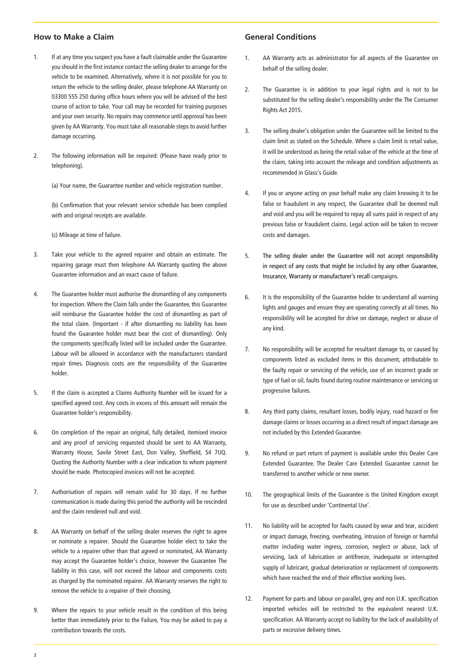# **How to Make a Claim**

- 1. If at any time you suspect you have a fault claimable under the Guarantee you should in the first instance contact the selling dealer to arrange for the vehicle to be examined. Alternatively, where it is not possible for you to return the vehicle to the selling dealer, please telephone AA Warranty on 03300 555 250 during office hours where you will be advised of the best course of action to take. Your call may be recorded for training purposes and your own security. No repairs may commence until approval has been given by AA Warranty. You must take all reasonable steps to avoid further damage occurring.
- 2. The following information will be required: (Please have ready prior to telephoning).

(a) Your name, the Guarantee number and vehicle registration number.

(b) Confirmation that your relevant service schedule has been complied with and original receipts are available.

(c) Mileage at time of failure.

- 3. Take your vehicle to the agreed repairer and obtain an estimate. The repairing garage must then telephone AA Warranty quoting the above Guarantee information and an exact cause of failure.
- 4. The Guarantee holder must authorise the dismantling of any components for inspection. Where the Claim falls under the Guarantee, this Guarantee will reimburse the Guarantee holder the cost of dismantling as part of the total claim. (Important - if after dismantling no liability has been found the Guarantee holder must bear the cost of dismantling). Only the components specifically listed will be included under the Guarantee. Labour will be allowed in accordance with the manufacturers standard repair times. Diagnosis costs are the responsibility of the Guarantee holder.
- 5. If the claim is accepted a Claims Authority Number will be issued for a specified agreed cost. Any costs in excess of this amount will remain the Guarantee holder's responsibility.
- 6. On completion of the repair an original, fully detailed, itemised invoice and any proof of servicing requested should be sent to AA Warranty, Warranty House, Savile Street East, Don Valley, Sheffield, S4 7UQ. Quoting the Authority Number with a clear indication to whom payment should be made. Photocopied invoices will not be accepted.
- 7. Authorisation of repairs will remain valid for 30 days. If no further communication is made during this period the authority will be rescinded and the claim rendered null and void.
- 8. AA Warranty on behalf of the selling dealer reserves the right to agree or nominate a repairer. Should the Guarantee holder elect to take the vehicle to a repairer other than that agreed or nominated, AA Warranty may accept the Guarantee holder's choice, however the Guarantee The liability in this case, will not exceed the labour and components costs as charged by the nominated repairer. AA Warranty reserves the right to remove the vehicle to a repairer of their choosing.
- 9. Where the repairs to your vehicle result in the condition of this being better than immediately prior to the Failure, You may be asked to pay a contribution towards the costs.

# **General Conditions**

- 1. AA Warranty acts as administrator for all aspects of the Guarantee on behalf of the selling dealer.
- 2. The Guarantee is in addition to your legal rights and is not to be substituted for the selling dealer's responsibility under the The Consumer Rights Act 2015.
- 3. The selling dealer's obligation under the Guarantee will be limited to the claim limit as stated on the Schedule. Where a claim limit is retail value, it will be understood as being the retail value of the vehicle at the time of the claim, taking into account the mileage and condition adjustments as recommended in Glass's Guide.
- 4. If you or anyone acting on your behalf make any claim knowing it to be false or fraudulent in any respect, the Guarantee shall be deemed null and void and you will be required to repay all sums paid in respect of any previous false or fraudulent claims. Legal action will be taken to recover costs and damages.
- 5. The selling dealer under the Guarantee will not accept responsibility in respect of any costs that might be included by any other Guarantee, Insurance, Warranty or manufacturer's recall campaigns.
- 6. It is the responsibility of the Guarantee holder to understand all warning lights and gauges and ensure they are operating correctly at all times. No responsibility will be accepted for drive on damage, neglect or abuse of any kind.
- 7. No responsibility will be accepted for resultant damage to, or caused by components listed as excluded items in this document, attributable to the faulty repair or servicing of the vehicle, use of an incorrect grade or type of fuel or oil, faults found during routine maintenance or servicing or progressive failures.
- 8. Any third party claims, resultant losses, bodily injury, road hazard or fire damage claims or losses occurring as a direct result of impact damage are not included by this Extended Guarantee.
- 9. No refund or part return of payment is available under this Dealer Care Extended Guarantee. The Dealer Care Extended Guarantee cannot be transferred to another vehicle or new owner.
- 10. The geographical limits of the Guarantee is the United Kingdom except for use as described under 'Continental Use'.
- 11. No liability will be accepted for faults caused by wear and tear, accident or impact damage, freezing, overheating, intrusion of foreign or harmful matter including water ingress, corrosion, neglect or abuse, lack of servicing, lack of lubrication or antifreeze, inadequate or interrupted supply of lubricant, gradual deterioration or replacement of components which have reached the end of their effective working lives.
- 12. Payment for parts and labour on parallel, grey and non U.K. specification imported vehicles will be restricted to the equivalent nearest U.K. specification. AA Warranty accept no liability for the lack of availability of parts or excessive delivery times.